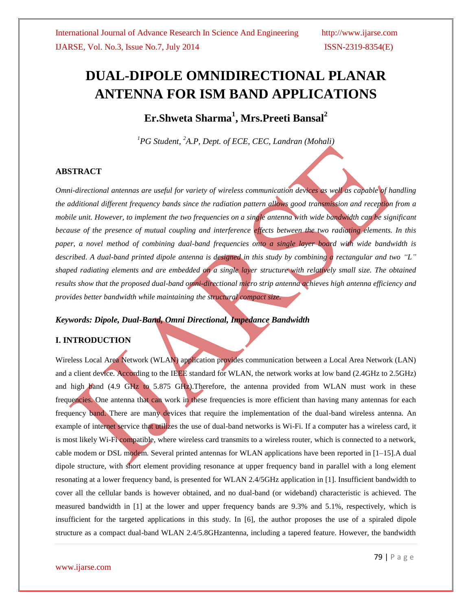# **DUAL-DIPOLE OMNIDIRECTIONAL PLANAR ANTENNA FOR ISM BAND APPLICATIONS**

**Er.Shweta Sharma<sup>1</sup> , Mrs.Preeti Bansal<sup>2</sup>**

*<sup>1</sup>PG Student, <sup>2</sup>A.P, Dept. of ECE, CEC, Landran (Mohali)*

## **ABSTRACT**

*Omni-directional antennas are useful for variety of wireless communication devices as well as capable of handling the additional different frequency bands since the radiation pattern allows good transmission and reception from a mobile unit. However, to implement the two frequencies on a single antenna with wide bandwidth can be significant because of the presence of mutual coupling and interference effects between the two radiating elements. In this paper, a novel method of combining dual-band frequencies onto a single layer board with wide bandwidth is described. A dual-band printed dipole antenna is designed in this study by combining a rectangular and two "L" shaped radiating elements and are embedded on a single layer structure with relatively small size. The obtained results show that the proposed dual-band omni-directional micro strip antenna achieves high antenna efficiency and provides better bandwidth while maintaining the structural compact size.*

## *Keywords: Dipole, Dual-Band, Omni Directional, Impedance Bandwidth*

## **I. INTRODUCTION**

Wireless Local Area Network (WLAN) application provides communication between a Local Area Network (LAN) and a client device. According to the IEEE standard for WLAN, the network works at low band (2.4GHz to 2.5GHz) and high band (4.9 GHz to 5.875 GHz).Therefore, the antenna provided from WLAN must work in these frequencies. One antenna that can work in these frequencies is more efficient than having many antennas for each frequency band. There are many devices that require the implementation of the dual-band wireless antenna. An example of internet service that utilizes the use of dual-band networks is Wi-Fi. If a computer has a wireless card, it is most likely Wi-Fi compatible, where wireless card transmits to a wireless router, which is connected to a network, cable modem or DSL modem. Several printed antennas for WLAN applications have been reported in [1–15].A dual dipole structure, with short element providing resonance at upper frequency band in parallel with a long element resonating at a lower frequency band, is presented for WLAN 2.4/5GHz application in [1]. Insufficient bandwidth to cover all the cellular bands is however obtained, and no dual-band (or wideband) characteristic is achieved. The measured bandwidth in [1] at the lower and upper frequency bands are 9.3% and 5.1%, respectively, which is insufficient for the targeted applications in this study. In [6], the author proposes the use of a spiraled dipole structure as a compact dual-band WLAN 2.4/5.8GHzantenna, including a tapered feature. However, the bandwidth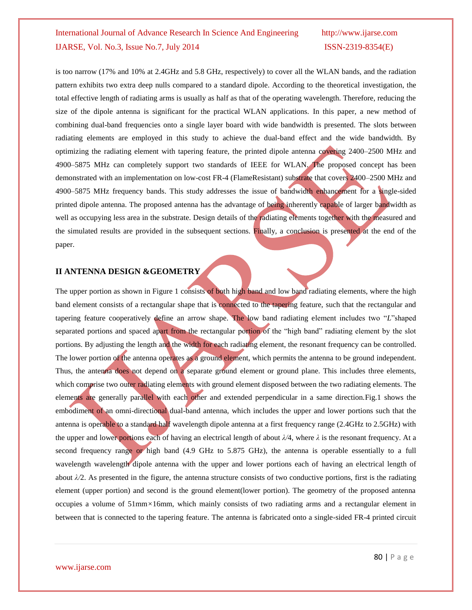is too narrow (17% and 10% at 2.4GHz and 5.8 GHz, respectively) to cover all the WLAN bands, and the radiation pattern exhibits two extra deep nulls compared to a standard dipole. According to the theoretical investigation, the total effective length of radiating arms is usually as half as that of the operating wavelength. Therefore, reducing the size of the dipole antenna is significant for the practical WLAN applications. In this paper, a new method of combining dual-band frequencies onto a single layer board with wide bandwidth is presented. The slots between radiating elements are employed in this study to achieve the dual-band effect and the wide bandwidth. By optimizing the radiating element with tapering feature, the printed dipole antenna covering 2400–2500 MHz and 4900–5875 MHz can completely support two standards of IEEE for WLAN. The proposed concept has been demonstrated with an implementation on low-cost FR-4 (FlameResistant) substrate that covers 2400–2500 MHz and 4900–5875 MHz frequency bands. This study addresses the issue of bandwidth enhancement for a single-sided printed dipole antenna. The proposed antenna has the advantage of being inherently capable of larger bandwidth as well as occupying less area in the substrate. Design details of the radiating elements together with the measured and the simulated results are provided in the subsequent sections. Finally, a conclusion is presented at the end of the paper.

## **II ANTENNA DESIGN &GEOMETRY**

The upper portion as shown in Figure 1 consists of both high band and low band radiating elements, where the high band element consists of a rectangular shape that is connected to the tapering feature, such that the rectangular and tapering feature cooperatively define an arrow shape. The low band radiating element includes two "*L*"shaped separated portions and spaced apart from the rectangular portion of the "high band" radiating element by the slot portions. By adjusting the length and the width for each radiating element, the resonant frequency can be controlled. The lower portion of the antenna operates as a ground element, which permits the antenna to be ground independent. Thus, the antenna does not depend on a separate ground element or ground plane. This includes three elements, which comprise two outer radiating elements with ground element disposed between the two radiating elements. The elements are generally parallel with each other and extended perpendicular in a same direction.Fig.1 shows the embodiment of an omni-directional dual-band antenna, which includes the upper and lower portions such that the antenna is operable to a standard half wavelength dipole antenna at a first frequency range (2.4GHz to 2.5GHz) with the upper and lower portions each of having an electrical length of about *λ/*4, where *λ* is the resonant frequency. At a second frequency range or high band (4.9 GHz to 5.875 GHz), the antenna is operable essentially to a full wavelength wavelength dipole antenna with the upper and lower portions each of having an electrical length of about  $\lambda/2$ . As presented in the figure, the antenna structure consists of two conductive portions, first is the radiating element (upper portion) and second is the ground element(lower portion). The geometry of the proposed antenna occupies a volume of 51mm*×*16mm, which mainly consists of two radiating arms and a rectangular element in between that is connected to the tapering feature. The antenna is fabricated onto a single-sided FR-4 printed circuit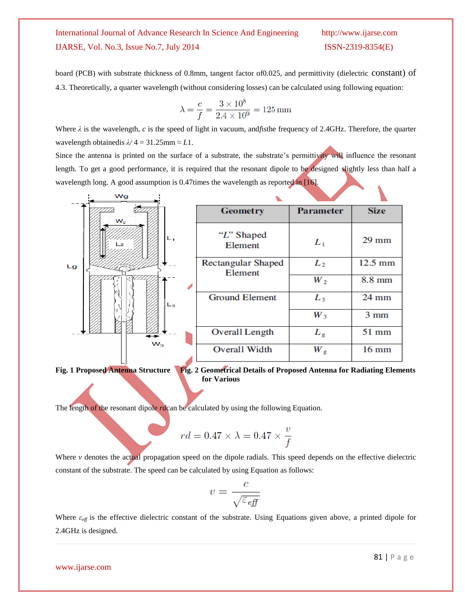board (PCB) with substrate thickness of 0.8mm, tangent factor of0.025, and permittivity (dielectric constant) of 4.3. Theoretically, a quarter wavelength (without considering losses) can be calculated using following equation:

$$
\lambda = \frac{c}{f} = \frac{3 \times 10^8}{2.4 \times 10^9} = 125 \,\text{mm}
$$

Where  $\lambda$  is the wavelength, *c* is the speed of light in vacuum, and fisthe frequency of 2.4GHz. Therefore, the quarter wavelength obtained is  $\lambda/4 = 31.25$ mm  $\approx L1$ .

Since the antenna is printed on the surface of a substrate, the substrate's permittivity will influence the resonant length. To get a good performance, it is required that the resonant dipole to be designed slightly less than half a wavelength long. A good assumption is 0.47times the wavelength as reported in [16].

|    | Wg      |         |                                      |                  |                   |
|----|---------|---------|--------------------------------------|------------------|-------------------|
|    | $W_2$   |         | <b>Geometry</b>                      | <b>Parameter</b> | <b>Size</b>       |
| Lg | $W_{3}$ | $L_{1}$ | "L" Shaped<br>Element                | $L_1$            | $29$ mm           |
|    |         | $L_3$   | <b>Rectangular Shaped</b><br>Element | L <sub>2</sub>   | $12.5 \text{ mm}$ |
|    |         |         |                                      | $W_2$            | 8.8 mm            |
|    |         |         | <b>Ground Element</b>                | $L_3$            | $24 \text{ mm}$   |
|    |         |         |                                      | $W_3$            | $3 \text{ mm}$    |
|    |         |         | Overall Length                       | $L_{\rm g}$      | $51$ mm           |
|    |         |         | Overall Width                        | $W_{\rm g}$      | $16 \text{ mm}$   |
|    |         |         |                                      |                  |                   |

**Fig. 1** Proposed Antenna Structure Fig. 2 Geometrical Details of Proposed Antenna for Radiating Elements  **for Various**

The length of the resonant dipole *rd*can be calculated by using the following Equation.

$$
rd = 0.47 \times \lambda = 0.47 \times \frac{v}{f}
$$

Where *v* denotes the actual propagation speed on the dipole radials. This speed depends on the effective dielectric constant of the substrate. The speed can be calculated by using Equation as follows:

$$
v = \frac{c}{\sqrt{\varepsilon_{\it eff}}}
$$

Where *εeff* is the effective dielectric constant of the substrate. Using Equations given above, a printed dipole for 2.4GHz is designed.

### www.ijarse.com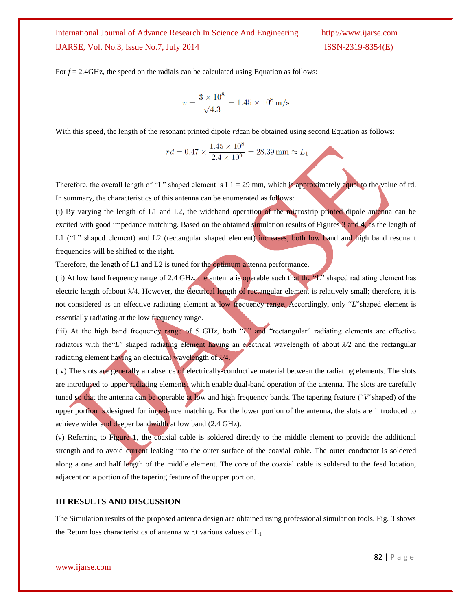For  $f = 2.4$ GHz, the speed on the radials can be calculated using Equation as follows:

$$
v = \frac{3 \times 10^8}{\sqrt{4.3}} = 1.45 \times 10^8 \,\mathrm{m/s}
$$

With this speed, the length of the resonant printed dipole *rd*can be obtained using second Equation as follows:

$$
rd = 0.47 \times \frac{1.45 \times 10^8}{2.4 \times 10^9} = 28.39 \,\mathrm{mm} \approx L_1
$$

Therefore, the overall length of "L" shaped element is  $L1 = 29$  mm, which is approximately equal to the value of rd. In summary, the characteristics of this antenna can be enumerated as follows:

(i) By varying the length of L1 and L2, the wideband operation of the microstrip printed dipole antenna can be excited with good impedance matching. Based on the obtained simulation results of Figures 3 and 4, as the length of L1 ("L" shaped element) and L2 (rectangular shaped element) increases, both low band and high band resonant frequencies will be shifted to the right.

Therefore, the length of L1 and L2 is tuned for the **optimum** antenna performance.

(ii) At low band frequency range of 2.4 GHz, the antenna is operable such that the  $\mathcal{L}$ " shaped radiating element has electric length of about  $\lambda/4$ . However, the electrical length of rectangular element is relatively small; therefore, it is not considered as an effective radiating element at low frequency range. Accordingly, only "*L*"shaped element is essentially radiating at the low frequency range.

(iii) At the high band frequency range of 5 GHz, both "*L*" and "rectangular" radiating elements are effective radiators with the "L" shaped radiating element having an electrical wavelength of about  $\lambda/2$  and the rectangular radiating element having an electrical wavelength of *λ/*4.

(iv) The slots are generally an absence of electrically-conductive material between the radiating elements. The slots are introduced to upper radiating elements, which enable dual-band operation of the antenna. The slots are carefully tuned so that the antenna can be operable at low and high frequency bands. The tapering feature ("*V*"shaped) of the upper portion is designed for impedance matching. For the lower portion of the antenna, the slots are introduced to achieve wider and deeper bandwidth at low band (2.4 GHz).

(v) Referring to Figure 1, the coaxial cable is soldered directly to the middle element to provide the additional strength and to avoid current leaking into the outer surface of the coaxial cable. The outer conductor is soldered along a one and half length of the middle element. The core of the coaxial cable is soldered to the feed location, adjacent on a portion of the tapering feature of the upper portion.

### **III RESULTS AND DISCUSSION**

The Simulation results of the proposed antenna design are obtained using professional simulation tools. Fig. 3 shows the Return loss characteristics of antenna w.r.t various values of  $L_1$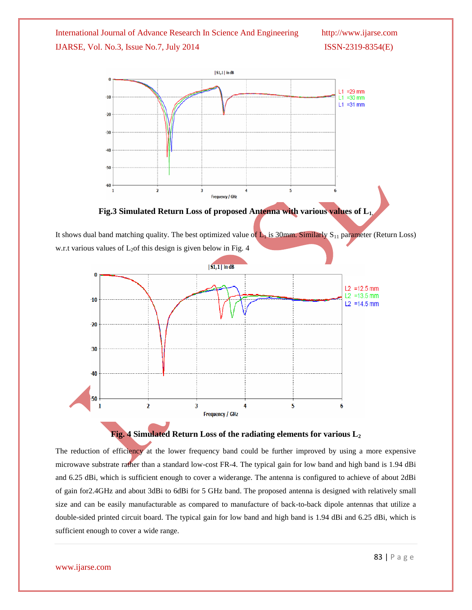

**Fig.3 Simulated Return Loss of proposed Antenna with various values of L1.**

It shows dual band matching quality. The best optimized value of  $L_1$  is 30mm. Similarly S<sub>11</sub> parameter (Return Loss) w.r.t various values of  $L_2$  of this design is given below in Fig. 4



## **Fig. 4 Simulated Return Loss of the radiating elements for various L<sup>2</sup>**

The reduction of efficiency at the lower frequency band could be further improved by using a more expensive microwave substrate rather than a standard low-cost FR-4. The typical gain for low band and high band is 1.94 dBi and 6.25 dBi, which is sufficient enough to cover a widerange. The antenna is configured to achieve of about 2dBi of gain for2.4GHz and about 3dBi to 6dBi for 5 GHz band. The proposed antenna is designed with relatively small size and can be easily manufacturable as compared to manufacture of back-to-back dipole antennas that utilize a double-sided printed circuit board. The typical gain for low band and high band is 1.94 dBi and 6.25 dBi, which is sufficient enough to cover a wide range.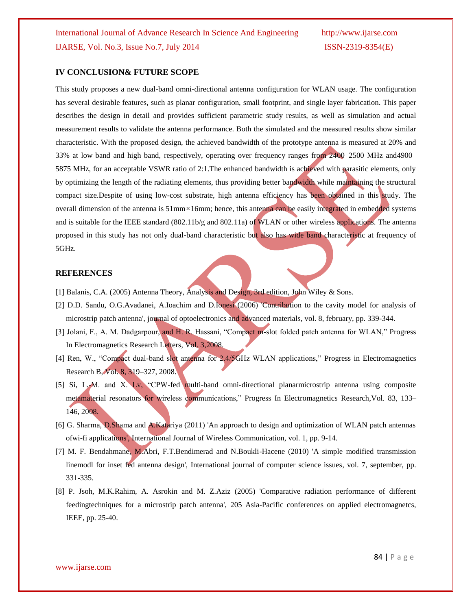## **IV CONCLUSION& FUTURE SCOPE**

This study proposes a new dual-band omni-directional antenna configuration for WLAN usage. The configuration has several desirable features, such as planar configuration, small footprint, and single layer fabrication. This paper describes the design in detail and provides sufficient parametric study results, as well as simulation and actual measurement results to validate the antenna performance. Both the simulated and the measured results show similar characteristic. With the proposed design, the achieved bandwidth of the prototype antenna is measured at 20% and 33% at low band and high band, respectively, operating over frequency ranges from 2400–2500 MHz and4900– 5875 MHz, for an acceptable VSWR ratio of 2:1.The enhanced bandwidth is achieved with parasitic elements, only by optimizing the length of the radiating elements, thus providing better bandwidth while maintaining the structural compact size.Despite of using low-cost substrate, high antenna efficiency has been obtained in this study. The overall dimension of the antenna is 51mm*×*16mm; hence, this antenna can be easily integrated in embedded systems and is suitable for the IEEE standard (802.11b/g and 802.11a) of WLAN or other wireless applications. The antenna proposed in this study has not only dual-band characteristic but also has wide band characteristic at frequency of 5GHz.

## **REFERENCES**

- [1] Balanis, C.A. (2005) Antenna Theory, Analysis and Design, 3rd edition, John Wiley & Sons.
- [2] D.D. Sandu, O.G.Avadanei, A.Ioachim and D.Ionesi (2006) 'Contribution to the cavity model for analysis of microstrip patch antenna', journal of optoelectronics and advanced materials, vol. 8, february, pp. 339-344.
- [3] Jolani, F., A. M. Dadgarpour, and H. R. Hassani, "Compact m-slot folded patch antenna for WLAN," Progress In Electromagnetics Research Letters, Vol. 3,2008.
- [4] Ren, W., "Compact dual-band slot antenna for 2.4/5GHz WLAN applications," Progress in Electromagnetics Research B, Vol. 8, 319–327, 2008.
- [5] Si, L.-M. and X. Lv, "CPW-fed multi-band omni-directional planarmicrostrip antenna using composite metamaterial resonators for wireless communications," Progress In Electromagnetics Research, Vol. 83, 133– 146, 2008.
- [6] G. Sharma, D.Shama and A.Katariya (2011) 'An approach to design and optimization of WLAN patch antennas ofwi-fi applications', International Journal of Wireless Communication, vol. 1, pp. 9-14.
- [7] M. F. Bendahmane, M.Abri, F.T.Bendimerad and N.Boukli-Hacene (2010) 'A simple modified transmission linemodl for inset fed antenna design', International journal of computer science issues, vol. 7, september, pp. 331-335.
- [8] P. Jsoh, M.K.Rahim, A. Asrokin and M. Z.Aziz (2005) 'Comparative radiation performance of different feedingtechniques for a microstrip patch antenna', 205 Asia-Pacific conferences on applied electromagnetcs, IEEE, pp. 25-40.